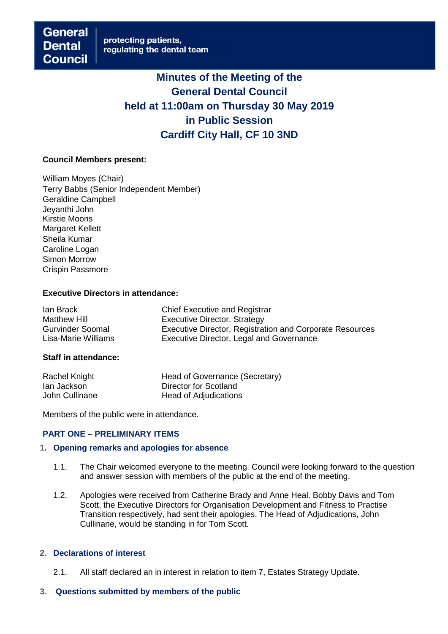# **Minutes of the Meeting of the General Dental Council held at 11:00am on Thursday 30 May 2019 in Public Session Cardiff City Hall, CF 10 3ND**

#### **Council Members present:**

William Moyes (Chair) Terry Babbs (Senior Independent Member) Geraldine Campbell Jeyanthi John Kirstie Moons Margaret Kellett Sheila Kumar Caroline Logan Simon Morrow Crispin Passmore

#### **Executive Directors in attendance:**

| lan Brack               | <b>Chief Executive and Registrar</b>                            |
|-------------------------|-----------------------------------------------------------------|
| <b>Matthew Hill</b>     | Executive Director, Strategy                                    |
| <b>Gurvinder Soomal</b> | <b>Executive Director, Registration and Corporate Resources</b> |
| Lisa-Marie Williams     | Executive Director, Legal and Governance                        |

#### **Staff in attendance:**

| Rachel Knight  | Head of Governance (Secretary) |
|----------------|--------------------------------|
| lan Jackson    | Director for Scotland          |
| John Cullinane | Head of Adjudications          |

Members of the public were in attendance.

## **PART ONE – PRELIMINARY ITEMS**

#### **1. Opening remarks and apologies for absence**

- 1.1. The Chair welcomed everyone to the meeting. Council were looking forward to the question and answer session with members of the public at the end of the meeting.
- 1.2. Apologies were received from Catherine Brady and Anne Heal. Bobby Davis and Tom Scott, the Executive Directors for Organisation Development and Fitness to Practise Transition respectively, had sent their apologies. The Head of Adjudications, John Cullinane, would be standing in for Tom Scott.

#### **2. Declarations of interest**

- 2.1. All staff declared an in interest in relation to item 7, Estates Strategy Update.
- **3. Questions submitted by members of the public**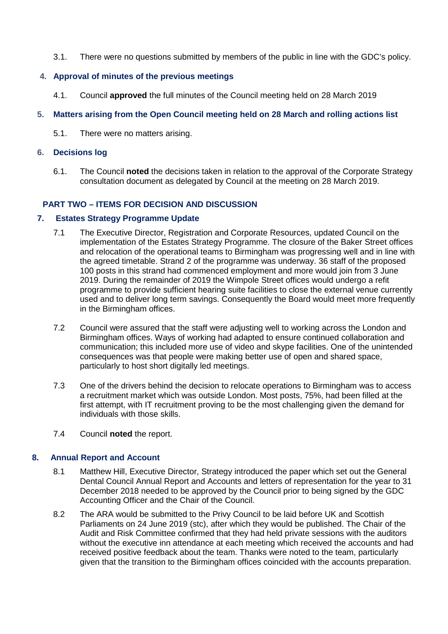3.1. There were no questions submitted by members of the public in line with the GDC's policy.

# **4. Approval of minutes of the previous meetings**

4.1. Council **approved** the full minutes of the Council meeting held on 28 March 2019

# **5. Matters arising from the Open Council meeting held on 28 March and rolling actions list**

5.1. There were no matters arising.

## **6. Decisions log**

6.1. The Council **noted** the decisions taken in relation to the approval of the Corporate Strategy consultation document as delegated by Council at the meeting on 28 March 2019.

# **PART TWO – ITEMS FOR DECISION AND DISCUSSION**

## **7. Estates Strategy Programme Update**

- 7.1 The Executive Director, Registration and Corporate Resources, updated Council on the implementation of the Estates Strategy Programme. The closure of the Baker Street offices and relocation of the operational teams to Birmingham was progressing well and in line with the agreed timetable. Strand 2 of the programme was underway. 36 staff of the proposed 100 posts in this strand had commenced employment and more would join from 3 June 2019. During the remainder of 2019 the Wimpole Street offices would undergo a refit programme to provide sufficient hearing suite facilities to close the external venue currently used and to deliver long term savings. Consequently the Board would meet more frequently in the Birmingham offices.
- 7.2 Council were assured that the staff were adjusting well to working across the London and Birmingham offices. Ways of working had adapted to ensure continued collaboration and communication; this included more use of video and skype facilities. One of the unintended consequences was that people were making better use of open and shared space, particularly to host short digitally led meetings.
- 7.3 One of the drivers behind the decision to relocate operations to Birmingham was to access a recruitment market which was outside London. Most posts, 75%, had been filled at the first attempt, with IT recruitment proving to be the most challenging given the demand for individuals with those skills.
- 7.4 Council **noted** the report.

## **8. Annual Report and Account**

- 8.1 Matthew Hill, Executive Director, Strategy introduced the paper which set out the General Dental Council Annual Report and Accounts and letters of representation for the year to 31 December 2018 needed to be approved by the Council prior to being signed by the GDC Accounting Officer and the Chair of the Council.
- 8.2 The ARA would be submitted to the Privy Council to be laid before UK and Scottish Parliaments on 24 June 2019 (stc), after which they would be published. The Chair of the Audit and Risk Committee confirmed that they had held private sessions with the auditors without the executive inn attendance at each meeting which received the accounts and had received positive feedback about the team. Thanks were noted to the team, particularly given that the transition to the Birmingham offices coincided with the accounts preparation.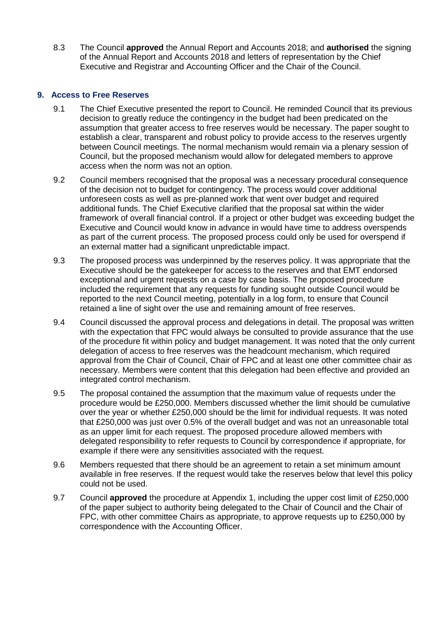8.3 The Council **approved** the Annual Report and Accounts 2018; and **authorised** the signing of the Annual Report and Accounts 2018 and letters of representation by the Chief Executive and Registrar and Accounting Officer and the Chair of the Council.

# **9. Access to Free Reserves**

- 9.1 The Chief Executive presented the report to Council. He reminded Council that its previous decision to greatly reduce the contingency in the budget had been predicated on the assumption that greater access to free reserves would be necessary. The paper sought to establish a clear, transparent and robust policy to provide access to the reserves urgently between Council meetings. The normal mechanism would remain via a plenary session of Council, but the proposed mechanism would allow for delegated members to approve access when the norm was not an option.
- 9.2 Council members recognised that the proposal was a necessary procedural consequence of the decision not to budget for contingency. The process would cover additional unforeseen costs as well as pre-planned work that went over budget and required additional funds. The Chief Executive clarified that the proposal sat within the wider framework of overall financial control. If a project or other budget was exceeding budget the Executive and Council would know in advance in would have time to address overspends as part of the current process. The proposed process could only be used for overspend if an external matter had a significant unpredictable impact.
- 9.3 The proposed process was underpinned by the reserves policy. It was appropriate that the Executive should be the gatekeeper for access to the reserves and that EMT endorsed exceptional and urgent requests on a case by case basis. The proposed procedure included the requirement that any requests for funding sought outside Council would be reported to the next Council meeting, potentially in a log form, to ensure that Council retained a line of sight over the use and remaining amount of free reserves.
- 9.4 Council discussed the approval process and delegations in detail. The proposal was written with the expectation that FPC would always be consulted to provide assurance that the use of the procedure fit within policy and budget management. It was noted that the only current delegation of access to free reserves was the headcount mechanism, which required approval from the Chair of Council, Chair of FPC and at least one other committee chair as necessary. Members were content that this delegation had been effective and provided an integrated control mechanism.
- 9.5 The proposal contained the assumption that the maximum value of requests under the procedure would be £250,000. Members discussed whether the limit should be cumulative over the year or whether £250,000 should be the limit for individual requests. It was noted that £250,000 was just over 0.5% of the overall budget and was not an unreasonable total as an upper limit for each request. The proposed procedure allowed members with delegated responsibility to refer requests to Council by correspondence if appropriate, for example if there were any sensitivities associated with the request.
- 9.6 Members requested that there should be an agreement to retain a set minimum amount available in free reserves. If the request would take the reserves below that level this policy could not be used.
- 9.7 Council **approved** the procedure at Appendix 1, including the upper cost limit of £250,000 of the paper subject to authority being delegated to the Chair of Council and the Chair of FPC, with other committee Chairs as appropriate, to approve requests up to £250,000 by correspondence with the Accounting Officer.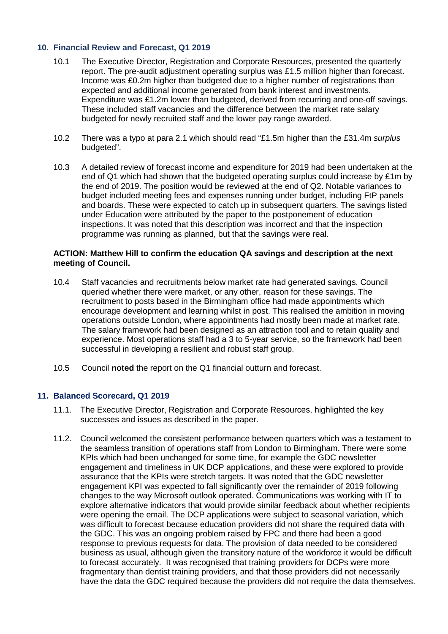# **10. Financial Review and Forecast, Q1 2019**

- 10.1 The Executive Director, Registration and Corporate Resources, presented the quarterly report. The pre-audit adjustment operating surplus was £1.5 million higher than forecast. Income was £0.2m higher than budgeted due to a higher number of registrations than expected and additional income generated from bank interest and investments. Expenditure was £1.2m lower than budgeted, derived from recurring and one-off savings. These included staff vacancies and the difference between the market rate salary budgeted for newly recruited staff and the lower pay range awarded.
- 10.2 There was a typo at para 2.1 which should read "£1.5m higher than the £31.4m *surplus*  budgeted".
- 10.3 A detailed review of forecast income and expenditure for 2019 had been undertaken at the end of Q1 which had shown that the budgeted operating surplus could increase by £1m by the end of 2019. The position would be reviewed at the end of Q2. Notable variances to budget included meeting fees and expenses running under budget, including FtP panels and boards. These were expected to catch up in subsequent quarters. The savings listed under Education were attributed by the paper to the postponement of education inspections. It was noted that this description was incorrect and that the inspection programme was running as planned, but that the savings were real.

#### **ACTION: Matthew Hill to confirm the education QA savings and description at the next meeting of Council.**

- 10.4 Staff vacancies and recruitments below market rate had generated savings. Council queried whether there were market, or any other, reason for these savings. The recruitment to posts based in the Birmingham office had made appointments which encourage development and learning whilst in post. This realised the ambition in moving operations outside London, where appointments had mostly been made at market rate. The salary framework had been designed as an attraction tool and to retain quality and experience. Most operations staff had a 3 to 5-year service, so the framework had been successful in developing a resilient and robust staff group.
- 10.5 Council **noted** the report on the Q1 financial outturn and forecast.

## **11. Balanced Scorecard, Q1 2019**

- 11.1. The Executive Director, Registration and Corporate Resources, highlighted the key successes and issues as described in the paper.
- 11.2. Council welcomed the consistent performance between quarters which was a testament to the seamless transition of operations staff from London to Birmingham. There were some KPIs which had been unchanged for some time, for example the GDC newsletter engagement and timeliness in UK DCP applications, and these were explored to provide assurance that the KPIs were stretch targets. It was noted that the GDC newsletter engagement KPI was expected to fall significantly over the remainder of 2019 following changes to the way Microsoft outlook operated. Communications was working with IT to explore alternative indicators that would provide similar feedback about whether recipients were opening the email. The DCP applications were subject to seasonal variation, which was difficult to forecast because education providers did not share the required data with the GDC. This was an ongoing problem raised by FPC and there had been a good response to previous requests for data. The provision of data needed to be considered business as usual, although given the transitory nature of the workforce it would be difficult to forecast accurately. It was recognised that training providers for DCPs were more fragmentary than dentist training providers, and that those providers did not necessarily have the data the GDC required because the providers did not require the data themselves.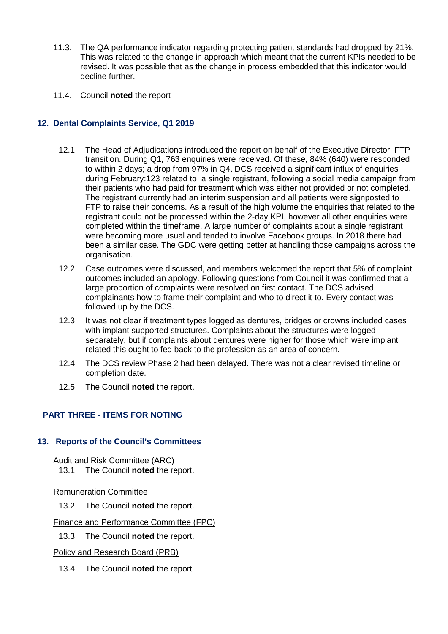- 11.3. The QA performance indicator regarding protecting patient standards had dropped by 21%. This was related to the change in approach which meant that the current KPIs needed to be revised. It was possible that as the change in process embedded that this indicator would decline further.
- 11.4. Council **noted** the report

# **12. Dental Complaints Service, Q1 2019**

- 12.1 The Head of Adjudications introduced the report on behalf of the Executive Director, FTP transition. During Q1, 763 enquiries were received. Of these, 84% (640) were responded to within 2 days; a drop from 97% in Q4. DCS received a significant influx of enquiries during February:123 related to a single registrant, following a social media campaign from their patients who had paid for treatment which was either not provided or not completed. The registrant currently had an interim suspension and all patients were signposted to FTP to raise their concerns. As a result of the high volume the enquiries that related to the registrant could not be processed within the 2-day KPI, however all other enquiries were completed within the timeframe. A large number of complaints about a single registrant were becoming more usual and tended to involve Facebook groups. In 2018 there had been a similar case. The GDC were getting better at handling those campaigns across the organisation.
- 12.2 Case outcomes were discussed, and members welcomed the report that 5% of complaint outcomes included an apology. Following questions from Council it was confirmed that a large proportion of complaints were resolved on first contact. The DCS advised complainants how to frame their complaint and who to direct it to. Every contact was followed up by the DCS.
- 12.3 It was not clear if treatment types logged as dentures, bridges or crowns included cases with implant supported structures. Complaints about the structures were logged separately, but if complaints about dentures were higher for those which were implant related this ought to fed back to the profession as an area of concern.
- 12.4 The DCS review Phase 2 had been delayed. There was not a clear revised timeline or completion date.
- 12.5 The Council **noted** the report.

# **PART THREE - ITEMS FOR NOTING**

## **13. Reports of the Council's Committees**

Audit and Risk Committee (ARC)

13.1 The Council **noted** the report.

## Remuneration Committee

13.2 The Council **noted** the report.

## Finance and Performance Committee (FPC)

13.3 The Council **noted** the report.

## Policy and Research Board (PRB)

13.4 The Council **noted** the report